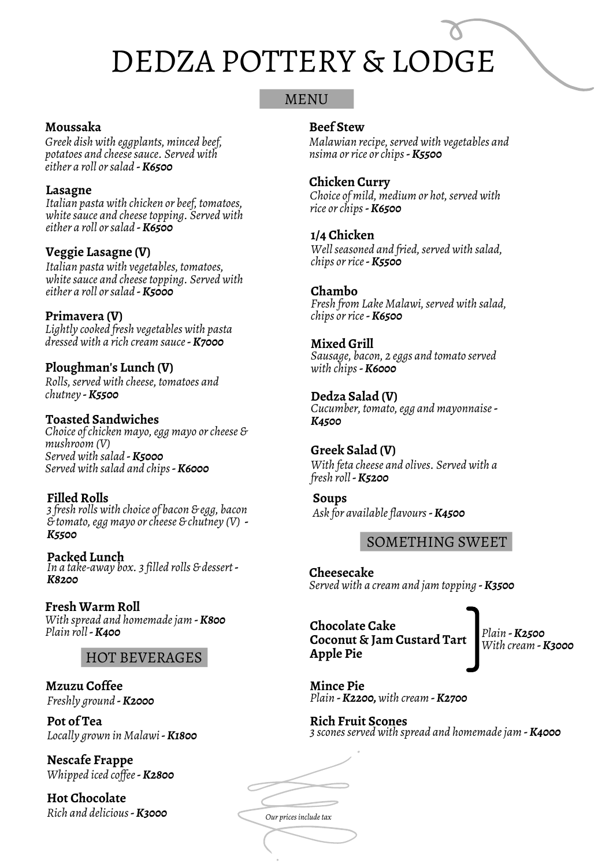## MENU

#### **Moussaka**

*Greek dish with eggplants, minced beef, potatoes and cheesesauce. Served with either a roll orsalad -K6500*

#### **Lasagne**

*Italian pasta with chicken or beef, tomatoes, whitesauce and cheesetopping. Served with either a roll orsalad -K6500*

## **Veggie Lasagne (V)**

*Italian pasta with vegetables, tomatoes, whitesauce and cheesetopping. Served with either a roll orsalad -K5000*

## **Primavera (V)**

*Lightly cooked fresh vegetables with pasta dressed with a rich cream sauce-K7000*

## **Ploughman's Lunch (V)**

*Rolls,served with cheese, tomatoes and chutney -K5500*

#### **Toasted Sandwiches**

*Choice ofchicken mayo,egg mayo orcheese & mushroom (V) Served with salad -K5000 Served with salad and chips-K6000*

## **Filled Rolls**

*3 fresh rolls with choice of bacon & egg, bacon & tomato,egg mayo orcheese & chutney (V) - K5500*

**Packed Lunch** *In a take-away box. 3 filled rolls & dessert - K8200*

#### **Fresh Warm Roll**

*With spread and homemadejam -K800 Plain roll-K400*

## HOT BEVERAGES

**Mzuzu Coffee** *Freshly ground -K2000*

**Pot of Tea** *Locally grown in Malawi-K1800*

**Nescafe Frappe** *Whipped iced cof ee-K2800*

**Hot Chocolate** *Rich and delicious-K3000*

#### **Beef Stew**

*Malawian recipe,served with vegetables and nsima orrice orchips-K5500*

#### **Chicken Curry**

*Choice of mild, medium or hot,served with rice orchips-K6500*

#### **1/4 Chicken**

*Wellseasoned and fried,served with salad, chips orrice-K5500*

#### **Chambo**

*Fresh from Lake Malawi,served with salad, chips orrice-K6500*

#### **Mixed Grill**

*Sausage, bacon, 2 eggs and tomato served with chips-K6000*

**Dedza Salad (V)** *Cucumber, tomato,egg and mayonnaise-K4500*

#### **Greek Salad (V)** *With feta cheese and olives. Served with a fresh roll-K5200*

**Soups** *Ask for availableflavours-K4500*

## SOMETHING SWEET

**Cheesecake** *Served with a cream and jam topping -K3500*

## **Chocolate Cake Coconut & Jam Custard Tart Apple Pie**

*Plain -K2500 With cream -K3000*

**Mince Pie** *Plain -K2200,with cream -K2700*

#### **Rich Fruit Scones** *3 sconesserved with spread and homemadejam -K4000*

*Our pricesincludetax*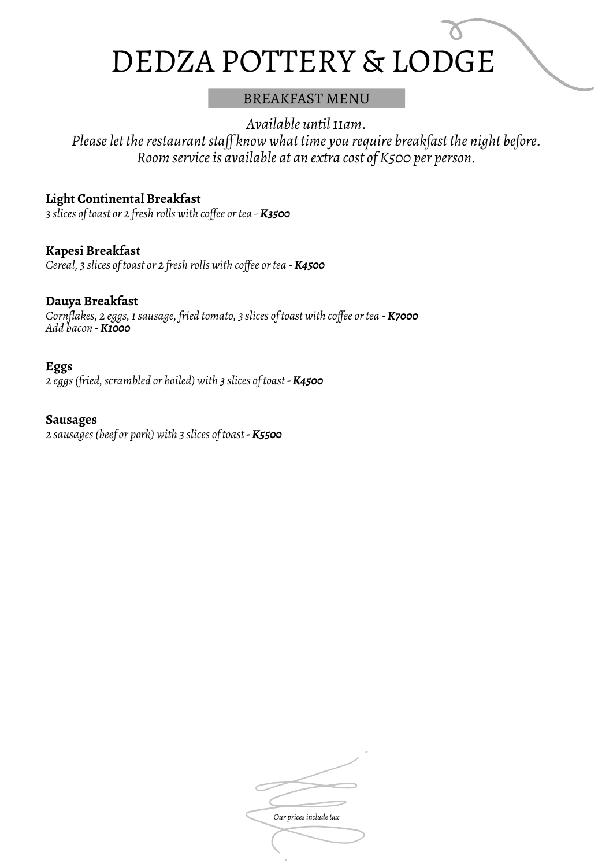## BREAKFAST MENU

*Available until11am.*

*Pleaselet therestaurantstaf know what time you require breakfast the night before. Room serviceis available at an extra cost of K500 per person.*

## **Light Continental Breakfast**

*3 slices of toast or 2 fresh rolls with cof ee ortea - K3500*

**Kapesi Breakfast** *Cereal, 3 slices of toast or 2 fresh rolls with cof ee ortea - K4500*

## **Dauya Breakfast**

*Cornflakes, 2 eggs,1sausage, fried tomato, 3 slices of toast with cof ee ortea - K7000 Add bacon -K1000*

#### **Eggs**

*2 eggs(fried,scrambled or boiled) with 3 slices of toast -K4500*

#### **Sausages**

*2 sausages(beef or pork) with 3 slices of toast -K5500*

**Our** prices include tax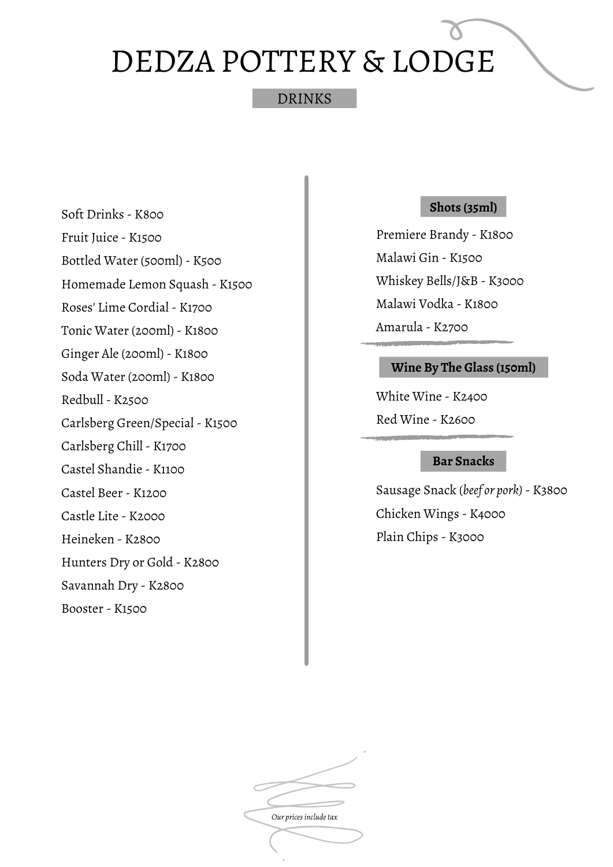## DRINKS

Soft Drinks - K800 Fruit Juice - K1500 Bottled Water (500ml) - K500 Homemade Lemon Squash - K1500 Roses' Lime Cordial - K1700 Tonic Water (200ml) - K1800 Ginger Ale (200ml) - K1800 Soda Water (200ml) - K1800 Redbull - K2500 Carlsberg Green/Special - K1500 Carlsberg Chill - K1700 Castel Shandie - K1100 Castel Beer - K1200 Castle Lite - K2000 Heineken - K2800 Hunters Dry or Gold - K2800 Savannah Dry - K2800 Booster - K1500

## **Shots (35ml)**

Premiere Brandy - K1800 Malawi Gin - K1500 Whiskey Bells/J&B - K3000 Malawi Vodka - K1800 Amarula - K2700

## **Wine By The Glass (150ml)**

White Wine - K2400 Red Wine - K2600

#### **Bar Snacks**

Sausage Snack (*beef or pork)*- K3800 Chicken Wings - K4000 Plain Chips - K3000

*Our pricesincludetax*